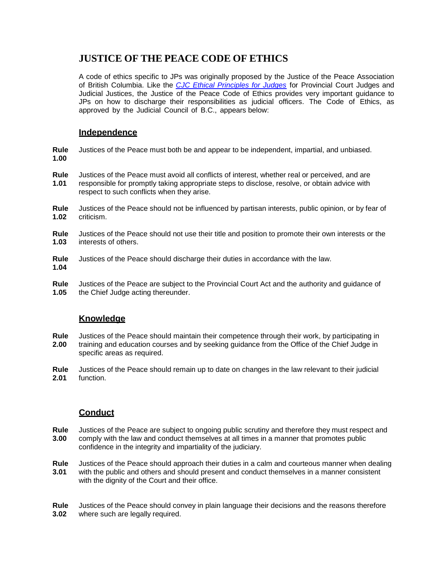# **JUSTICE OF THE PEACE CODE OF ETHICS**

A code of ethics specific to JPs was originally proposed by the Justice of the Peace Association of British Columbia. Like the *[CJC Ethical Principles for Judges](http://www.cjc-ccm.gc.ca/cmslib/general/news_pub_judicialconduct_Principles_en.pdf)* for Provincial Court Judges and Judicial Justices, the Justice of the Peace Code of Ethics provides very important guidance to JPs on how to discharge their responsibilities as judicial officers. The Code of Ethics, as approved by the Judicial Council of B.C., appears below:

#### **Independence**

**Rule** Justices of the Peace must both be and appear to be independent, impartial, and unbiased. **1.00**

- **Rule** Justices of the Peace must avoid all conflicts of interest, whether real or perceived, and are **1.01** responsible for promptly taking appropriate steps to disclose, resolve, or obtain advice with respect to such conflicts when they arise.
- **Rule** Justices of the Peace should not be influenced by partisan interests, public opinion, or by fear of **1.02** criticism. **1.02** criticism.
- **Rule** Justices of the Peace should not use their title and position to promote their own interests or the 1.03 interests of others. **1.03** interests of others.
- **Rule** Justices of the Peace should discharge their duties in accordance with the law. **1.04**
- **Rule** Justices of the Peace are subject to the Provincial Court Act and the authority and guidance of **1.05** the Chief Judge acting thereunder.

## **Knowledge**

- **Rule** Justices of the Peace should maintain their competence through their work, by participating in **2.00** training and education courses and by seeking guidance from the Office of the Chief Judge in specific areas as required.
- **Rule** Justices of the Peace should remain up to date on changes in the law relevant to their judicial **2.01** function.

## **Conduct**

- **Rule** Justices of the Peace are subject to ongoing public scrutiny and therefore they must respect and **3.00** comply with the law and conduct themselves at all times in a manner that promotes public confidence in the integrity and impartiality of the judiciary.
- **Rule** Justices of the Peace should approach their duties in a calm and courteous manner when dealing **3.01** with the public and others and should present and conduct themselves in a manner consistent with the dignity of the Court and their office.
- **Rule** Justices of the Peace should convey in plain language their decisions and the reasons therefore 3.02 where such are legally required. **3.02** where such are legally required.